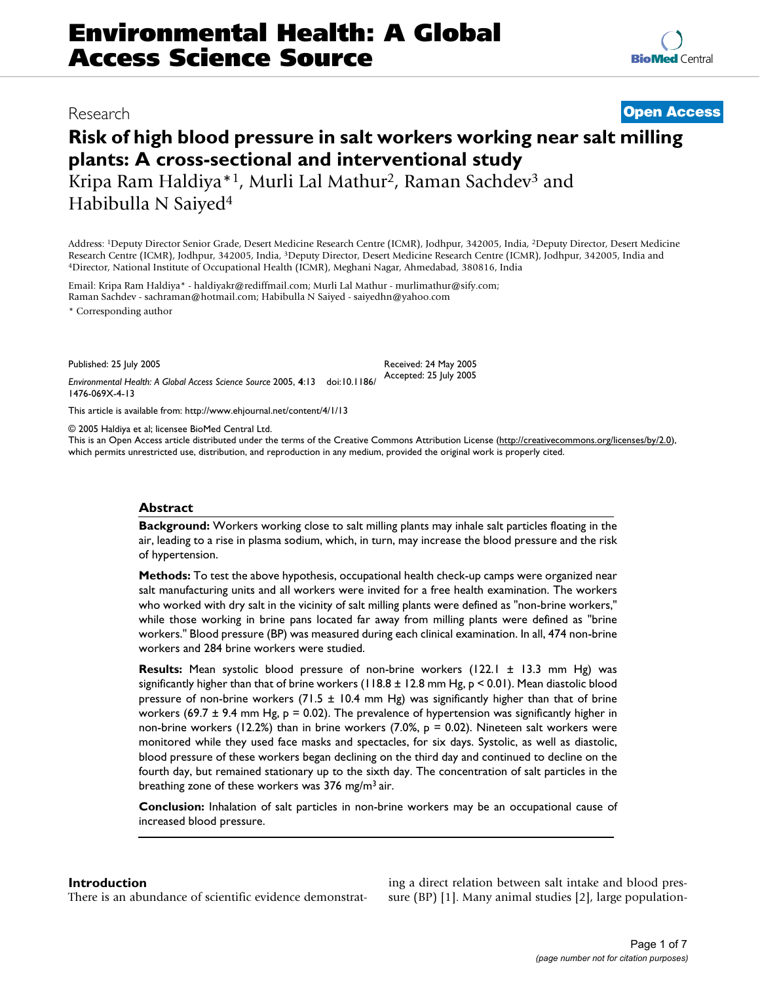## Research **[Open Access](http://www.biomedcentral.com/info/about/charter/)**

# **Risk of high blood pressure in salt workers working near salt milling plants: A cross-sectional and interventional study** Kripa Ram Haldiya\*1, Murli Lal Mathur2, Raman Sachdev3 and Habibulla N Saiyed4

Address: 1Deputy Director Senior Grade, Desert Medicine Research Centre (ICMR), Jodhpur, 342005, India, 2Deputy Director, Desert Medicine Research Centre (ICMR), Jodhpur, 342005, India, <sup>3</sup>Deputy Director, Desert Medicine Research Centre (ICMR), Jodhpur, 342005, India and 4Director, National Institute of Occupational Health (ICMR), Meghani Nagar, Ahmedabad,

Email: Kripa Ram Haldiya\* - haldiyakr@rediffmail.com; Murli Lal Mathur - murlimathur@sify.com; Raman Sachdev - sachraman@hotmail.com; Habibulla N Saiyed - saiyedhn@yahoo.com

\* Corresponding author

Published: 25 July 2005

*Environmental Health: A Global Access Science Source* 2005, **4**:13 doi:10.1186/ 1476-069X-4-13 Accepted: 25 July 2005

[This article is available from: http://www.ehjournal.net/content/4/1/13](http://www.ehjournal.net/content/4/1/13)

© 2005 Haldiya et al; licensee BioMed Central Ltd.

This is an Open Access article distributed under the terms of the Creative Commons Attribution License [\(http://creativecommons.org/licenses/by/2.0\)](http://creativecommons.org/licenses/by/2.0), which permits unrestricted use, distribution, and reproduction in any medium, provided the original work is properly cited.

Received: 24 May 2005

## **Abstract**

**Background:** Workers working close to salt milling plants may inhale salt particles floating in the air, leading to a rise in plasma sodium, which, in turn, may increase the blood pressure and the risk of hypertension.

**Methods:** To test the above hypothesis, occupational health check-up camps were organized near salt manufacturing units and all workers were invited for a free health examination. The workers who worked with dry salt in the vicinity of salt milling plants were defined as "non-brine workers," while those working in brine pans located far away from milling plants were defined as "brine workers." Blood pressure (BP) was measured during each clinical examination. In all, 474 non-brine workers and 284 brine workers were studied.

**Results:** Mean systolic blood pressure of non-brine workers (122.1 ± 13.3 mm Hg) was significantly higher than that of brine workers (118.8  $\pm$  12.8 mm Hg, p < 0.01). Mean diastolic blood pressure of non-brine workers  $(71.5 \pm 10.4 \text{ mm Hg})$  was significantly higher than that of brine workers (69.7  $\pm$  9.4 mm Hg, p = 0.02). The prevalence of hypertension was significantly higher in non-brine workers (12.2%) than in brine workers (7.0%, p = 0.02). Nineteen salt workers were monitored while they used face masks and spectacles, for six days. Systolic, as well as diastolic, blood pressure of these workers began declining on the third day and continued to decline on the fourth day, but remained stationary up to the sixth day. The concentration of salt particles in the breathing zone of these workers was 376 mg/m<sup>3</sup> air.

**Conclusion:** Inhalation of salt particles in non-brine workers may be an occupational cause of increased blood pressure.

#### **Introduction**

There is an abundance of scientific evidence demonstrat-

ing a direct relation between salt intake and blood pressure (BP) [1]. Many animal studies [2], large population-

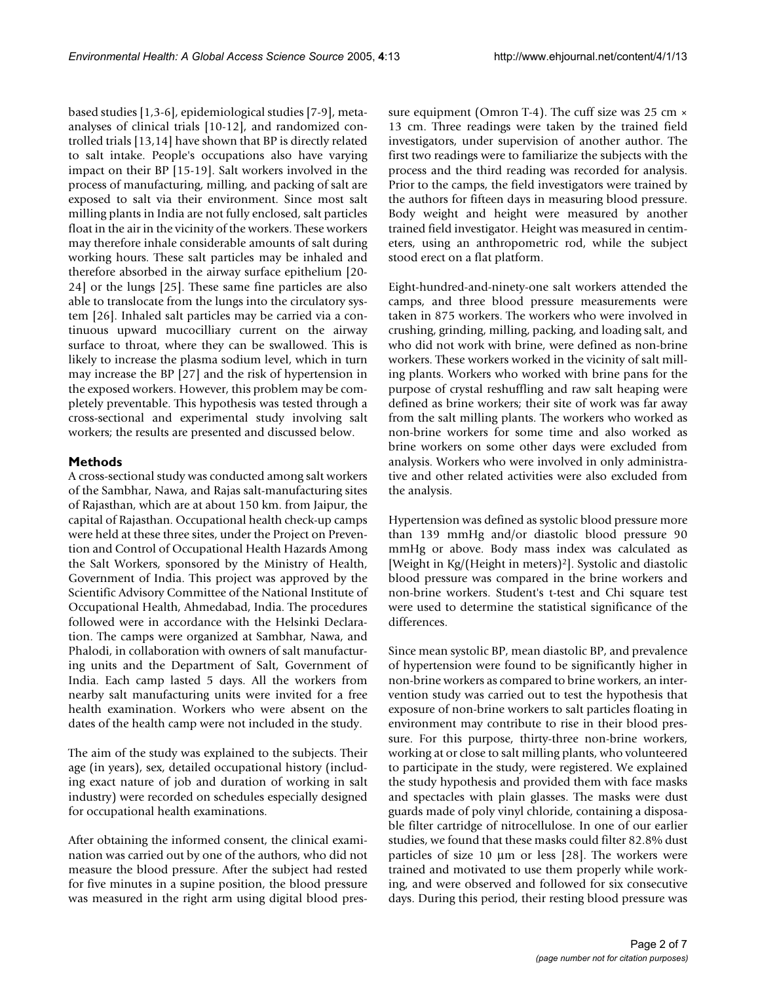based studies [1,3-6], epidemiological studies [7-9], metaanalyses of clinical trials [10-12], and randomized controlled trials [13,14] have shown that BP is directly related to salt intake. People's occupations also have varying impact on their BP [15-19]. Salt workers involved in the process of manufacturing, milling, and packing of salt are exposed to salt via their environment. Since most salt milling plants in India are not fully enclosed, salt particles float in the air in the vicinity of the workers. These workers may therefore inhale considerable amounts of salt during working hours. These salt particles may be inhaled and therefore absorbed in the airway surface epithelium [20- 24] or the lungs [25]. These same fine particles are also able to translocate from the lungs into the circulatory system [26]. Inhaled salt particles may be carried via a continuous upward mucocilliary current on the airway surface to throat, where they can be swallowed. This is likely to increase the plasma sodium level, which in turn may increase the BP [27] and the risk of hypertension in the exposed workers. However, this problem may be completely preventable. This hypothesis was tested through a cross-sectional and experimental study involving salt workers; the results are presented and discussed below.

## **Methods**

A cross-sectional study was conducted among salt workers of the Sambhar, Nawa, and Rajas salt-manufacturing sites of Rajasthan, which are at about 150 km. from Jaipur, the capital of Rajasthan. Occupational health check-up camps were held at these three sites, under the Project on Prevention and Control of Occupational Health Hazards Among the Salt Workers, sponsored by the Ministry of Health, Government of India. This project was approved by the Scientific Advisory Committee of the National Institute of Occupational Health, Ahmedabad, India. The procedures followed were in accordance with the Helsinki Declaration. The camps were organized at Sambhar, Nawa, and Phalodi, in collaboration with owners of salt manufacturing units and the Department of Salt, Government of India. Each camp lasted 5 days. All the workers from nearby salt manufacturing units were invited for a free health examination. Workers who were absent on the dates of the health camp were not included in the study.

The aim of the study was explained to the subjects. Their age (in years), sex, detailed occupational history (including exact nature of job and duration of working in salt industry) were recorded on schedules especially designed for occupational health examinations.

After obtaining the informed consent, the clinical examination was carried out by one of the authors, who did not measure the blood pressure. After the subject had rested for five minutes in a supine position, the blood pressure was measured in the right arm using digital blood pressure equipment (Omron T-4). The cuff size was 25 cm  $\times$ 13 cm. Three readings were taken by the trained field investigators, under supervision of another author. The first two readings were to familiarize the subjects with the process and the third reading was recorded for analysis. Prior to the camps, the field investigators were trained by the authors for fifteen days in measuring blood pressure. Body weight and height were measured by another trained field investigator. Height was measured in centimeters, using an anthropometric rod, while the subject stood erect on a flat platform.

Eight-hundred-and-ninety-one salt workers attended the camps, and three blood pressure measurements were taken in 875 workers. The workers who were involved in crushing, grinding, milling, packing, and loading salt, and who did not work with brine, were defined as non-brine workers. These workers worked in the vicinity of salt milling plants. Workers who worked with brine pans for the purpose of crystal reshuffling and raw salt heaping were defined as brine workers; their site of work was far away from the salt milling plants. The workers who worked as non-brine workers for some time and also worked as brine workers on some other days were excluded from analysis. Workers who were involved in only administrative and other related activities were also excluded from the analysis.

Hypertension was defined as systolic blood pressure more than 139 mmHg and/or diastolic blood pressure 90 mmHg or above. Body mass index was calculated as [Weight in Kg/(Height in meters)2]. Systolic and diastolic blood pressure was compared in the brine workers and non-brine workers. Student's t-test and Chi square test were used to determine the statistical significance of the differences.

Since mean systolic BP, mean diastolic BP, and prevalence of hypertension were found to be significantly higher in non-brine workers as compared to brine workers, an intervention study was carried out to test the hypothesis that exposure of non-brine workers to salt particles floating in environment may contribute to rise in their blood pressure. For this purpose, thirty-three non-brine workers, working at or close to salt milling plants, who volunteered to participate in the study, were registered. We explained the study hypothesis and provided them with face masks and spectacles with plain glasses. The masks were dust guards made of poly vinyl chloride, containing a disposable filter cartridge of nitrocellulose. In one of our earlier studies, we found that these masks could filter 82.8% dust particles of size 10  $\mu$ m or less [28]. The workers were trained and motivated to use them properly while working, and were observed and followed for six consecutive days. During this period, their resting blood pressure was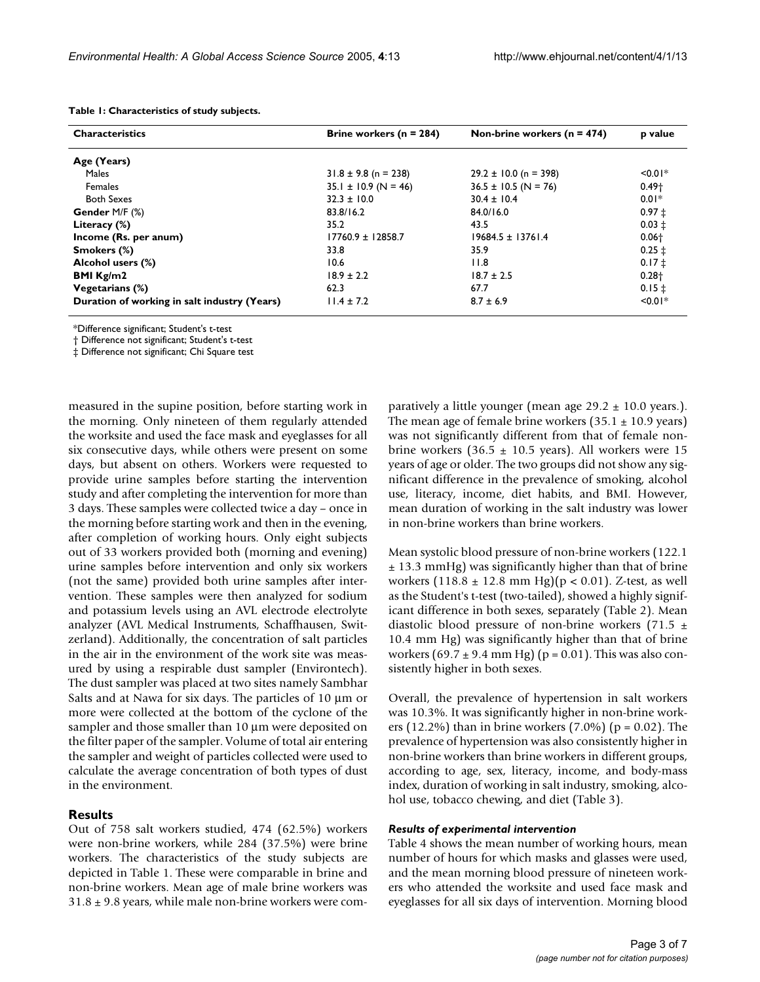| <b>Characteristics</b>                       | Brine workers ( $n = 284$ ) | Non-brine workers ( $n = 474$ ) | p value    |
|----------------------------------------------|-----------------------------|---------------------------------|------------|
| Age (Years)                                  |                             |                                 |            |
| Males                                        | $31.8 \pm 9.8$ (n = 238)    | $29.2 \pm 10.0$ (n = 398)       | $< 0.01*$  |
| Females                                      | $35.1 \pm 10.9$ (N = 46)    | $36.5 \pm 10.5$ (N = 76)        | $0.49+$    |
| <b>Both Sexes</b>                            | $32.3 \pm 10.0$             | $30.4 \pm 10.4$                 | $0.01*$    |
| Gender M/F (%)                               | 83.8/16.2                   | 84.0/16.0                       | $0.97 \pm$ |
| Literacy (%)                                 | 35.2                        | 43.5                            | $0.03 \pm$ |
| Income (Rs. per anum)                        | $17760.9 \pm 12858.7$       | $19684.5 \pm 13761.4$           | $0.06+$    |
| Smokers (%)                                  | 33.8                        | 35.9                            | $0.25 \pm$ |
| Alcohol users (%)                            | 10.6                        | 11.8                            | $0.17 \pm$ |
| <b>BMI</b> Kg/m2                             | $18.9 \pm 2.2$              | $18.7 \pm 2.5$                  | $0.28+$    |
| Vegetarians (%)                              | 62.3                        | 67.7                            | $0.15 \pm$ |
| Duration of working in salt industry (Years) | $11.4 \pm 7.2$              | $8.7 \pm 6.9$                   | $< 0.01*$  |

**Table 1: Characteristics of study subjects.**

\*Difference significant; Student's t-test

† Difference not significant; Student's t-test

‡ Difference not significant; Chi Square test

measured in the supine position, before starting work in the morning. Only nineteen of them regularly attended the worksite and used the face mask and eyeglasses for all six consecutive days, while others were present on some days, but absent on others. Workers were requested to provide urine samples before starting the intervention study and after completing the intervention for more than 3 days. These samples were collected twice a day – once in the morning before starting work and then in the evening, after completion of working hours. Only eight subjects out of 33 workers provided both (morning and evening) urine samples before intervention and only six workers (not the same) provided both urine samples after intervention. These samples were then analyzed for sodium and potassium levels using an AVL electrode electrolyte analyzer (AVL Medical Instruments, Schaffhausen, Switzerland). Additionally, the concentration of salt particles in the air in the environment of the work site was measured by using a respirable dust sampler (Environtech). The dust sampler was placed at two sites namely Sambhar Salts and at Nawa for six days. The particles of 10  $\mu$ m or more were collected at the bottom of the cyclone of the sampler and those smaller than 10  $\mu$ m were deposited on the filter paper of the sampler. Volume of total air entering the sampler and weight of particles collected were used to calculate the average concentration of both types of dust in the environment.

#### **Results**

Out of 758 salt workers studied, 474 (62.5%) workers were non-brine workers, while 284 (37.5%) were brine workers. The characteristics of the study subjects are depicted in Table 1. These were comparable in brine and non-brine workers. Mean age of male brine workers was  $31.8 \pm 9.8$  years, while male non-brine workers were comparatively a little younger (mean age  $29.2 \pm 10.0$  years.). The mean age of female brine workers  $(35.1 \pm 10.9 \text{ years})$ was not significantly different from that of female nonbrine workers (36.5  $\pm$  10.5 years). All workers were 15 years of age or older. The two groups did not show any significant difference in the prevalence of smoking, alcohol use, literacy, income, diet habits, and BMI. However, mean duration of working in the salt industry was lower in non-brine workers than brine workers.

Mean systolic blood pressure of non-brine workers (122.1 ± 13.3 mmHg) was significantly higher than that of brine workers  $(118.8 \pm 12.8 \text{ mm Hg})(p < 0.01)$ . Z-test, as well as the Student's t-test (two-tailed), showed a highly significant difference in both sexes, separately (Table [2](#page-3-0)). Mean diastolic blood pressure of non-brine workers (71.5  $\pm$ 10.4 mm Hg) was significantly higher than that of brine workers  $(69.7 \pm 9.4 \text{ mm Hg})$  (p = 0.01). This was also consistently higher in both sexes.

Overall, the prevalence of hypertension in salt workers was 10.3%. It was significantly higher in non-brine workers (12.2%) than in brine workers (7.0%) ( $p = 0.02$ ). The prevalence of hypertension was also consistently higher in non-brine workers than brine workers in different groups, according to age, sex, literacy, income, and body-mass index, duration of working in salt industry, smoking, alcohol use, tobacco chewing, and diet (Table [3](#page-3-1)).

#### *Results of experimental intervention*

Table [4](#page-3-2) shows the mean number of working hours, mean number of hours for which masks and glasses were used, and the mean morning blood pressure of nineteen workers who attended the worksite and used face mask and eyeglasses for all six days of intervention. Morning blood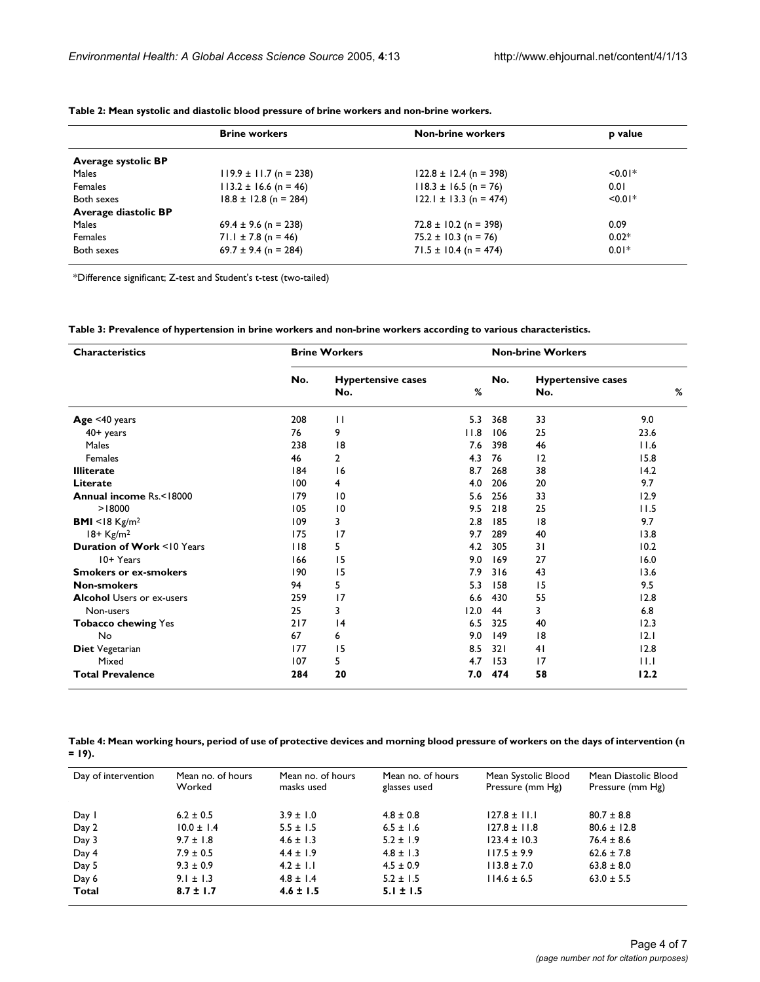|                      | <b>Brine workers</b>       | <b>Non-brine workers</b>   | p value   |
|----------------------|----------------------------|----------------------------|-----------|
| Average systolic BP  |                            |                            |           |
| Males                | $119.9 \pm 11.7$ (n = 238) | $122.8 \pm 12.4$ (n = 398) | $< 0.01*$ |
| Females              | $113.2 \pm 16.6$ (n = 46)  | $118.3 \pm 16.5$ (n = 76)  | 0.01      |
| Both sexes           | $18.8 \pm 12.8$ (n = 284)  | $122.1 \pm 13.3$ (n = 474) | $< 0.01*$ |
| Average diastolic BP |                            |                            |           |
| <b>Males</b>         | $69.4 \pm 9.6$ (n = 238)   | $72.8 \pm 10.2$ (n = 398)  | 0.09      |
| Females              | $71.1 \pm 7.8$ (n = 46)    | $75.2 \pm 10.3$ (n = 76)   | $0.02*$   |
| Both sexes           | $69.7 \pm 9.4$ (n = 284)   | $71.5 \pm 10.4$ (n = 474)  | $0.01*$   |

<span id="page-3-0"></span>**Table 2: Mean systolic and diastolic blood pressure of brine workers and non-brine workers.**

\*Difference significant; Z-test and Student's t-test (two-tailed)

<span id="page-3-1"></span>**Table 3: Prevalence of hypertension in brine workers and non-brine workers according to various characteristics.**

| <b>Characteristics</b>           | <b>Brine Workers</b> |                                  | <b>Non-brine Workers</b> |     |                                  |      |
|----------------------------------|----------------------|----------------------------------|--------------------------|-----|----------------------------------|------|
|                                  | No.                  | <b>Hypertensive cases</b><br>No. | %                        | No. | <b>Hypertensive cases</b><br>No. | %    |
| Age <40 years                    | 208                  | $\mathbf{H}$                     | 5.3                      | 368 | 33                               | 9.0  |
| 40+ years                        | 76                   | 9                                | 11.8                     | 106 | 25                               | 23.6 |
| Males                            | 238                  | 18                               | 7.6                      | 398 | 46                               | 11.6 |
| Females                          | 46                   | 2                                | 4.3                      | 76  | 12                               | 15.8 |
| <b>Illiterate</b>                | 184                  | 16                               | 8.7                      | 268 | 38                               | 14.2 |
| Literate                         | 100                  | 4                                | 4.0                      | 206 | 20                               | 9.7  |
| Annual income Rs.<18000          | 179                  | $\overline{10}$                  | 5.6                      | 256 | 33                               | 12.9 |
| >18000                           | 105                  | $\overline{10}$                  | 9.5                      | 218 | 25                               | 11.5 |
| <b>BMI</b> <18 $Kg/m2$           | 109                  | 3                                | 2.8                      | 185 | 18                               | 9.7  |
| $18+$ Kg/m <sup>2</sup>          | 175                  | 17                               | 9.7                      | 289 | 40                               | 13.8 |
| Duration of Work <10 Years       | 118                  | 5                                | 4.2                      | 305 | 31                               | 10.2 |
| 10+ Years                        | 166                  | 15                               | 9.0                      | 169 | 27                               | 16.0 |
| <b>Smokers or ex-smokers</b>     | 190                  | 15                               | 7.9                      | 316 | 43                               | 13.6 |
| <b>Non-smokers</b>               | 94                   | 5                                | 5.3                      | 158 | 15                               | 9.5  |
| <b>Alcohol Users or ex-users</b> | 259                  | 17                               | 6.6                      | 430 | 55                               | 12.8 |
| Non-users                        | 25                   | 3                                | 12.0                     | 44  | 3                                | 6.8  |
| <b>Tobacco chewing Yes</b>       | 217                  | 4                                | 6.5                      | 325 | 40                               | 12.3 |
| No                               | 67                   | 6                                | 9.0                      | 49  | 18                               | 12.1 |
| <b>Diet</b> Vegetarian           | 177                  | 15                               | 8.5                      | 321 | 41                               | 12.8 |
| Mixed                            | 107                  | 5.                               | 4.7                      | 153 | 17                               | 11.1 |
| <b>Total Prevalence</b>          | 284                  | 20                               | 7.0                      | 474 | 58                               | 12.2 |

<span id="page-3-2"></span>**Table 4: Mean working hours, period of use of protective devices and morning blood pressure of workers on the days of intervention (n = 19).**

| Day of intervention | Mean no. of hours<br>Worked | Mean no. of hours<br>masks used | Mean no. of hours<br>glasses used | Mean Systolic Blood<br>Pressure (mm Hg) | Mean Diastolic Blood<br>Pressure (mm Hg) |
|---------------------|-----------------------------|---------------------------------|-----------------------------------|-----------------------------------------|------------------------------------------|
| Day I               | $6.2 \pm 0.5$               | $3.9 \pm 1.0$                   | $4.8 \pm 0.8$                     | $127.8 \pm 11.1$                        | $80.7 \pm 8.8$                           |
| Day 2               | $10.0 \pm 1.4$              | $5.5 \pm 1.5$                   | $6.5 \pm 1.6$                     | $127.8 \pm 11.8$                        | $80.6 \pm 12.8$                          |
| Day 3               | $9.7 \pm 1.8$               | $4.6 \pm 1.3$                   | $5.2 \pm 1.9$                     | $123.4 \pm 10.3$                        | $76.4 \pm 8.6$                           |
| Day 4               | $7.9 \pm 0.5$               | $4.4 \pm 1.9$                   | $4.8 \pm 1.3$                     | $117.5 \pm 9.9$                         | $62.6 \pm 7.8$                           |
| Day 5               | $9.3 \pm 0.9$               | $4.2 \pm 1.1$                   | $4.5 \pm 0.9$                     | $113.8 \pm 7.0$                         | $63.8 \pm 8.0$                           |
| Day 6               | $9.1 \pm 1.3$               | $4.8 \pm 1.4$                   | $5.2 \pm 1.5$                     | $114.6 \pm 6.5$                         | $63.0 \pm 5.5$                           |
| Total               | $8.7 \pm 1.7$               | $4.6 \pm 1.5$                   | $5.1 \pm 1.5$                     |                                         |                                          |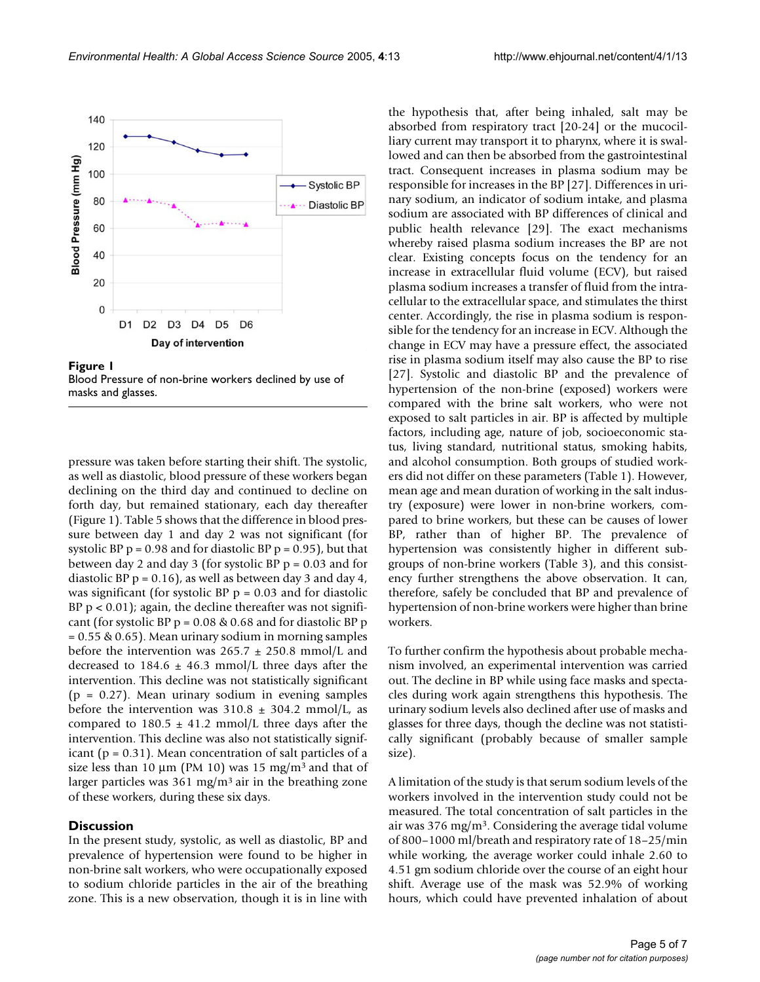

Blood Pressure of non-brine workers declined by use of masks and glasses.

pressure was taken before starting their shift. The systolic, as well as diastolic, blood pressure of these workers began declining on the third day and continued to decline on forth day, but remained stationary, each day thereafter (Figure 1). Table 5 shows that the difference in blood pressure between day 1 and day 2 was not significant (for systolic BP  $p = 0.98$  and for diastolic BP  $p = 0.95$ , but that between day 2 and day 3 (for systolic BP  $p = 0.03$  and for diastolic BP  $p = 0.16$ , as well as between day 3 and day 4, was significant (for systolic BP  $p = 0.03$  and for diastolic BP  $p < 0.01$ ); again, the decline thereafter was not significant (for systolic BP  $p = 0.08 \& 0.68$  and for diastolic BP  $p$  $= 0.55 \& 0.65$ ). Mean urinary sodium in morning samples before the intervention was  $265.7 \pm 250.8$  mmol/L and decreased to  $184.6 \pm 46.3$  mmol/L three days after the intervention. This decline was not statistically significant (p = 0.27). Mean urinary sodium in evening samples before the intervention was  $310.8 \pm 304.2$  mmol/L, as compared to  $180.5 \pm 41.2$  mmol/L three days after the intervention. This decline was also not statistically significant ( $p = 0.31$ ). Mean concentration of salt particles of a size less than 10  $\mu$ m (PM 10) was 15 mg/m<sup>3</sup> and that of larger particles was  $361 \text{ mg/m}^3$  air in the breathing zone of these workers, during these six days.

#### **Discussion**

In the present study, systolic, as well as diastolic, BP and prevalence of hypertension were found to be higher in non-brine salt workers, who were occupationally exposed to sodium chloride particles in the air of the breathing zone. This is a new observation, though it is in line with

the hypothesis that, after being inhaled, salt may be absorbed from respiratory tract [20-24] or the mucocilliary current may transport it to pharynx, where it is swallowed and can then be absorbed from the gastrointestinal tract. Consequent increases in plasma sodium may be responsible for increases in the BP [27]. Differences in urinary sodium, an indicator of sodium intake, and plasma sodium are associated with BP differences of clinical and public health relevance [29]. The exact mechanisms whereby raised plasma sodium increases the BP are not clear. Existing concepts focus on the tendency for an increase in extracellular fluid volume (ECV), but raised plasma sodium increases a transfer of fluid from the intracellular to the extracellular space, and stimulates the thirst center. Accordingly, the rise in plasma sodium is responsible for the tendency for an increase in ECV. Although the change in ECV may have a pressure effect, the associated rise in plasma sodium itself may also cause the BP to rise [27]. Systolic and diastolic BP and the prevalence of hypertension of the non-brine (exposed) workers were compared with the brine salt workers, who were not exposed to salt particles in air. BP is affected by multiple factors, including age, nature of job, socioeconomic status, living standard, nutritional status, smoking habits, and alcohol consumption. Both groups of studied workers did not differ on these parameters (Table 1). However, mean age and mean duration of working in the salt industry (exposure) were lower in non-brine workers, compared to brine workers, but these can be causes of lower BP, rather than of higher BP. The prevalence of hypertension was consistently higher in different subgroups of non-brine workers (Table [3](#page-3-1)), and this consistency further strengthens the above observation. It can, therefore, safely be concluded that BP and prevalence of hypertension of non-brine workers were higher than brine workers.

To further confirm the hypothesis about probable mechanism involved, an experimental intervention was carried out. The decline in BP while using face masks and spectacles during work again strengthens this hypothesis. The urinary sodium levels also declined after use of masks and glasses for three days, though the decline was not statistically significant (probably because of smaller sample size).

A limitation of the study is that serum sodium levels of the workers involved in the intervention study could not be measured. The total concentration of salt particles in the air was 376 mg/m<sup>3</sup>. Considering the average tidal volume of 800–1000 ml/breath and respiratory rate of 18–25/min while working, the average worker could inhale 2.60 to 4.51 gm sodium chloride over the course of an eight hour shift. Average use of the mask was 52.9% of working hours, which could have prevented inhalation of about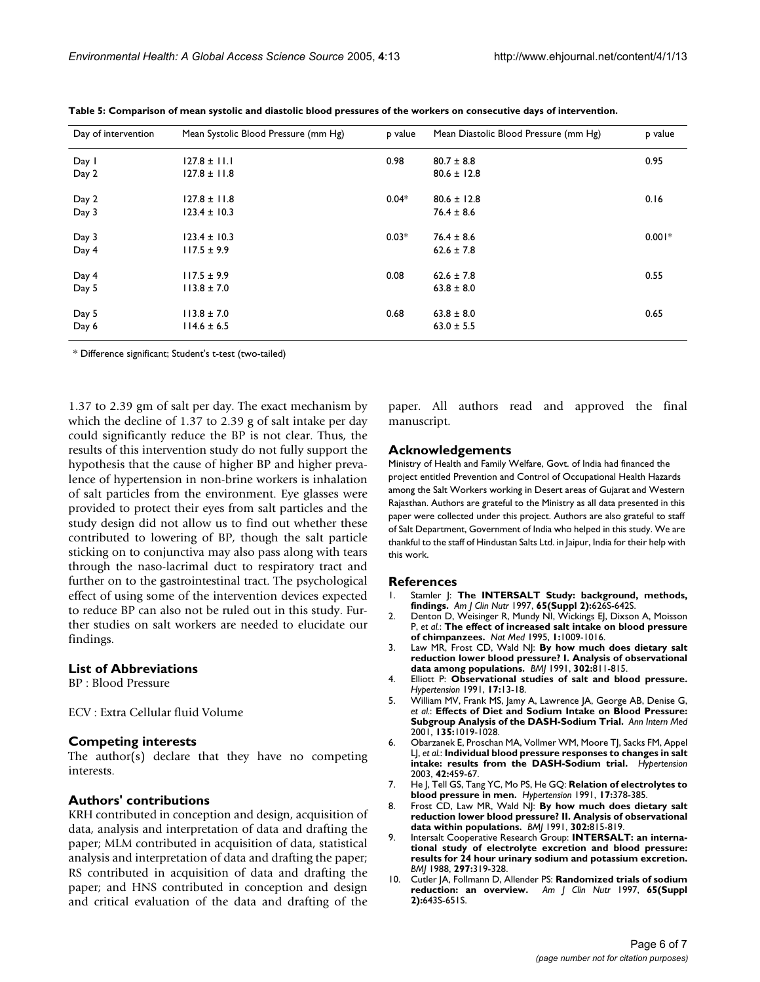| Day of intervention | Mean Systolic Blood Pressure (mm Hg) | p value | Mean Diastolic Blood Pressure (mm Hg) | p value  |
|---------------------|--------------------------------------|---------|---------------------------------------|----------|
| Day 1               | $127.8 \pm 11.1$                     | 0.98    | $80.7 \pm 8.8$                        | 0.95     |
| Day 2               | $127.8 \pm 11.8$                     |         | $80.6 \pm 12.8$                       |          |
| Day 2               | $127.8 \pm 11.8$                     | $0.04*$ | $80.6 \pm 12.8$                       | 0.16     |
| Day 3               | $123.4 \pm 10.3$                     |         | $76.4 \pm 8.6$                        |          |
| Day 3               | $123.4 \pm 10.3$                     | $0.03*$ | $76.4 \pm 8.6$                        | $0.001*$ |
| Day 4               | $117.5 \pm 9.9$                      |         | $62.6 \pm 7.8$                        |          |
| Day 4               | $117.5 \pm 9.9$                      | 0.08    | $62.6 \pm 7.8$                        | 0.55     |
| Day 5               | $113.8 \pm 7.0$                      |         | $63.8 \pm 8.0$                        |          |
| Day 5               | $113.8 \pm 7.0$                      | 0.68    | $63.8 \pm 8.0$                        | 0.65     |
| Day 6               | $114.6 \pm 6.5$                      |         | $63.0 \pm 5.5$                        |          |

**Table 5: Comparison of mean systolic and diastolic blood pressures of the workers on consecutive days of intervention.**

\* Difference significant; Student's t-test (two-tailed)

1.37 to 2.39 gm of salt per day. The exact mechanism by which the decline of 1.37 to 2.39 g of salt intake per day could significantly reduce the BP is not clear. Thus, the results of this intervention study do not fully support the hypothesis that the cause of higher BP and higher prevalence of hypertension in non-brine workers is inhalation of salt particles from the environment. Eye glasses were provided to protect their eyes from salt particles and the study design did not allow us to find out whether these contributed to lowering of BP, though the salt particle sticking on to conjunctiva may also pass along with tears through the naso-lacrimal duct to respiratory tract and further on to the gastrointestinal tract. The psychological effect of using some of the intervention devices expected to reduce BP can also not be ruled out in this study. Further studies on salt workers are needed to elucidate our findings.

## **List of Abbreviations**

BP : Blood Pressure

ECV : Extra Cellular fluid Volume

#### **Competing interests**

The author(s) declare that they have no competing interests.

#### **Authors' contributions**

KRH contributed in conception and design, acquisition of data, analysis and interpretation of data and drafting the paper; MLM contributed in acquisition of data, statistical analysis and interpretation of data and drafting the paper; RS contributed in acquisition of data and drafting the paper; and HNS contributed in conception and design and critical evaluation of the data and drafting of the paper. All authors read and approved the final manuscript.

#### **Acknowledgements**

Ministry of Health and Family Welfare, Govt. of India had financed the project entitled Prevention and Control of Occupational Health Hazards among the Salt Workers working in Desert areas of Gujarat and Western Rajasthan. Authors are grateful to the Ministry as all data presented in this paper were collected under this project. Authors are also grateful to staff of Salt Department, Government of India who helped in this study. We are thankful to the staff of Hindustan Salts Ltd. in Jaipur, India for their help with this work.

#### **References**

- 1. Stamler J: **The INTERSALT Study: background, methods, findings.** *Am J Clin Nutr* 1997, **65(Suppl 2):**626S-642S.
- 2. Denton D, Weisinger R, Mundy NI, Wickings EJ, Dixson A, Moisson P, *et al.*: **[The effect of increased salt intake on blood pressure](http://www.ncbi.nlm.nih.gov/entrez/query.fcgi?cmd=Retrieve&db=PubMed&dopt=Abstract&list_uids=7489355) [of chimpanzees.](http://www.ncbi.nlm.nih.gov/entrez/query.fcgi?cmd=Retrieve&db=PubMed&dopt=Abstract&list_uids=7489355)** *Nat Med* 1995, **1:**1009-1016.
- 3. Law MR, Frost CD, Wald NJ: **[By how much does dietary salt](http://www.ncbi.nlm.nih.gov/entrez/query.fcgi?cmd=Retrieve&db=PubMed&dopt=Abstract&list_uids=2025703) [reduction lower blood pressure? I. Analysis of observational](http://www.ncbi.nlm.nih.gov/entrez/query.fcgi?cmd=Retrieve&db=PubMed&dopt=Abstract&list_uids=2025703) [data among populations.](http://www.ncbi.nlm.nih.gov/entrez/query.fcgi?cmd=Retrieve&db=PubMed&dopt=Abstract&list_uids=2025703)** *BMJ* 1991, **302:**811-815.
- 4. Elliott P: **Observational studies of salt and blood pressure.** *Hypertension* 1991, **17:**13-18.
- 5. William MV, Frank MS, Jamy A, Lawrence JA, George AB, Denise G, *et al.*: **[Effects of Diet and Sodium Intake on Blood Pressure:](http://www.ncbi.nlm.nih.gov/entrez/query.fcgi?cmd=Retrieve&db=PubMed&dopt=Abstract&list_uids=11747380) [Subgroup Analysis of the DASH-Sodium Trial.](http://www.ncbi.nlm.nih.gov/entrez/query.fcgi?cmd=Retrieve&db=PubMed&dopt=Abstract&list_uids=11747380)** *Ann Intern Med* 2001, **135:**1019-1028.
- 6. Obarzanek E, Proschan MA, Vollmer WM, Moore TJ, Sacks FM, Appel LJ, *et al.*: **[Individual blood pressure responses to changes in salt](http://www.ncbi.nlm.nih.gov/entrez/query.fcgi?cmd=Retrieve&db=PubMed&dopt=Abstract&list_uids=12953018) [intake: results from the DASH-Sodium trial.](http://www.ncbi.nlm.nih.gov/entrez/query.fcgi?cmd=Retrieve&db=PubMed&dopt=Abstract&list_uids=12953018)** *Hypertension* 2003, **42:**459-67.
- 7. He J, Tell GS, Tang YC, Mo PS, He GQ: **[Relation of electrolytes to](http://www.ncbi.nlm.nih.gov/entrez/query.fcgi?cmd=Retrieve&db=PubMed&dopt=Abstract&list_uids=1999367) [blood pressure in men.](http://www.ncbi.nlm.nih.gov/entrez/query.fcgi?cmd=Retrieve&db=PubMed&dopt=Abstract&list_uids=1999367)** *Hypertension* 1991, **17:**378-385.
- 8. Frost CD, Law MR, Wald NJ: **[By how much does dietary salt](http://www.ncbi.nlm.nih.gov/entrez/query.fcgi?cmd=Retrieve&db=PubMed&dopt=Abstract&list_uids=2025704) [reduction lower blood pressure? II. Analysis of observational](http://www.ncbi.nlm.nih.gov/entrez/query.fcgi?cmd=Retrieve&db=PubMed&dopt=Abstract&list_uids=2025704) [data within populations.](http://www.ncbi.nlm.nih.gov/entrez/query.fcgi?cmd=Retrieve&db=PubMed&dopt=Abstract&list_uids=2025704)** *BMJ* 1991, **302:**815-819.
- 9. Intersalt Cooperative Research Group: **[INTERSALT: an interna](http://www.ncbi.nlm.nih.gov/entrez/query.fcgi?cmd=Retrieve&db=PubMed&dopt=Abstract&list_uids=3416162)[tional study of electrolyte excretion and blood pressure:](http://www.ncbi.nlm.nih.gov/entrez/query.fcgi?cmd=Retrieve&db=PubMed&dopt=Abstract&list_uids=3416162) results for 24 hour urinary sodium and potassium excretion.** *BMJ* 1988, **297:**319-328.
- 10. Cutler JA, Follmann D, Allender PS: **Randomized trials of sodium reduction: an overview.** *Am J Clin Nutr* 1997, **65(Suppl 2):**643S-651S.